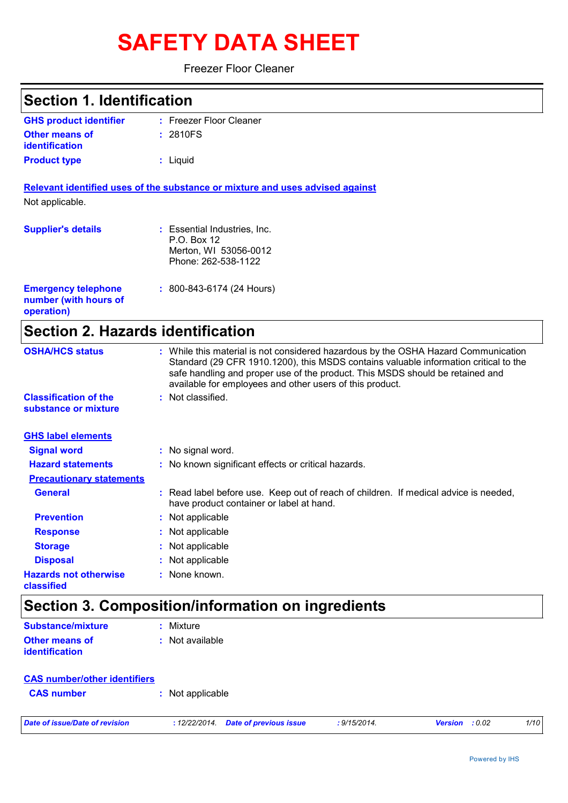# **SAFETY DATA SHEET**

## Freezer Floor Cleaner

| <b>Section 1. Identification</b>                                  |                                                                                                                                                                                                                                                                                                                         |  |  |
|-------------------------------------------------------------------|-------------------------------------------------------------------------------------------------------------------------------------------------------------------------------------------------------------------------------------------------------------------------------------------------------------------------|--|--|
| <b>GHS product identifier</b>                                     | : Freezer Floor Cleaner                                                                                                                                                                                                                                                                                                 |  |  |
| <b>Other means of</b><br>identification                           | : 2810FS                                                                                                                                                                                                                                                                                                                |  |  |
| <b>Product type</b>                                               | : Liquid                                                                                                                                                                                                                                                                                                                |  |  |
|                                                                   | Relevant identified uses of the substance or mixture and uses advised against                                                                                                                                                                                                                                           |  |  |
| Not applicable.                                                   |                                                                                                                                                                                                                                                                                                                         |  |  |
| <b>Supplier's details</b>                                         | : Essential Industries, Inc.<br>P.O. Box 12<br>Merton, WI 53056-0012<br>Phone: 262-538-1122                                                                                                                                                                                                                             |  |  |
| <b>Emergency telephone</b><br>number (with hours of<br>operation) | $: 800 - 843 - 6174$ (24 Hours)                                                                                                                                                                                                                                                                                         |  |  |
| <b>Section 2. Hazards identification</b>                          |                                                                                                                                                                                                                                                                                                                         |  |  |
| <b>OSHA/HCS status</b>                                            | : While this material is not considered hazardous by the OSHA Hazard Communication<br>Standard (29 CFR 1910.1200), this MSDS contains valuable information critical to the<br>safe handling and proper use of the product. This MSDS should be retained and<br>available for employees and other users of this product. |  |  |
| <b>Classification of the</b><br>substance or mixture              | : Not classified.                                                                                                                                                                                                                                                                                                       |  |  |
| <b>GHS label elements</b>                                         |                                                                                                                                                                                                                                                                                                                         |  |  |
| <b>Signal word</b>                                                | : No signal word.                                                                                                                                                                                                                                                                                                       |  |  |
| <b>Hazard statements</b>                                          | : No known significant effects or critical hazards.                                                                                                                                                                                                                                                                     |  |  |
| <b>Precautionary statements</b>                                   |                                                                                                                                                                                                                                                                                                                         |  |  |
| <b>General</b>                                                    | : Read label before use. Keep out of reach of children. If medical advice is needed,<br>have product container or label at hand.                                                                                                                                                                                        |  |  |
| <b>Prevention</b>                                                 | Not applicable                                                                                                                                                                                                                                                                                                          |  |  |
| <b>Response</b>                                                   | Not applicable                                                                                                                                                                                                                                                                                                          |  |  |
| <b>Storage</b>                                                    | Not applicable                                                                                                                                                                                                                                                                                                          |  |  |
| <b>Disposal</b>                                                   | Not applicable                                                                                                                                                                                                                                                                                                          |  |  |
| <b>Hazards not otherwise</b><br>classified                        | : None known.                                                                                                                                                                                                                                                                                                           |  |  |
|                                                                   | Section 3. Composition/information on ingredients                                                                                                                                                                                                                                                                       |  |  |
| Substance/mixture                                                 | : Mixture                                                                                                                                                                                                                                                                                                               |  |  |

| Substance/mixture     | : Mixture       |
|-----------------------|-----------------|
| <b>Other means of</b> | : Not available |
| <i>identification</i> |                 |

| <b>CAS number/other identifiers</b> |  |                  |
|-------------------------------------|--|------------------|
| <b>CAS</b> number                   |  | : Not applicable |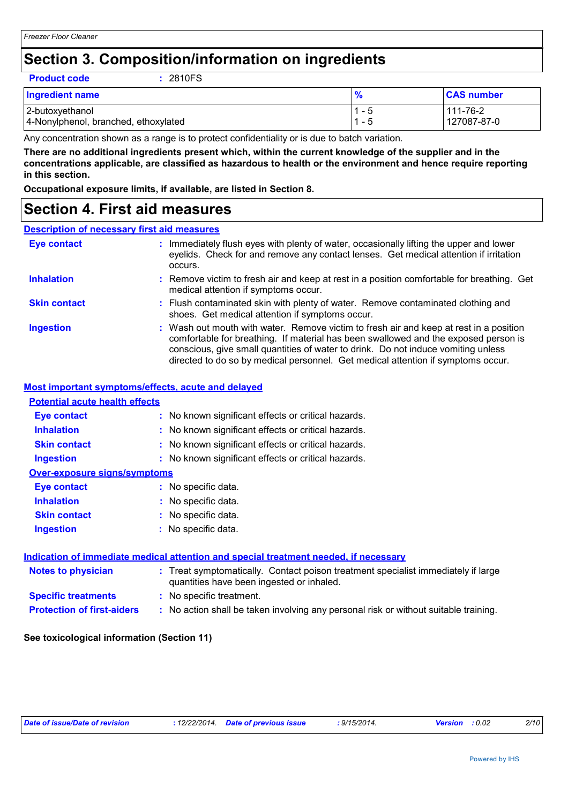# **Section 3. Composition/information on ingredients**

|  | <b>Product code</b> |
|--|---------------------|
|  |                     |

**Product code :** 2810FS

| <b>Ingredient name</b>               | $\frac{9}{6}$ | <b>CAS number</b> |
|--------------------------------------|---------------|-------------------|
| 2-butoxyethanol                      | $1 - 5$       | 111-76-2          |
| 4-Nonylphenol, branched, ethoxylated | $1 - 5$       | 127087-87-0       |

Any concentration shown as a range is to protect confidentiality or is due to batch variation.

**There are no additional ingredients present which, within the current knowledge of the supplier and in the concentrations applicable, are classified as hazardous to health or the environment and hence require reporting in this section.**

**Occupational exposure limits, if available, are listed in Section 8.**

## **Section 4. First aid measures**

## **Description of necessary first aid measures**

| Eye contact         | : Immediately flush eyes with plenty of water, occasionally lifting the upper and lower<br>eyelids. Check for and remove any contact lenses. Get medical attention if irritation<br>occurs.                                                                                                                                                            |
|---------------------|--------------------------------------------------------------------------------------------------------------------------------------------------------------------------------------------------------------------------------------------------------------------------------------------------------------------------------------------------------|
| <b>Inhalation</b>   | : Remove victim to fresh air and keep at rest in a position comfortable for breathing. Get<br>medical attention if symptoms occur.                                                                                                                                                                                                                     |
| <b>Skin contact</b> | : Flush contaminated skin with plenty of water. Remove contaminated clothing and<br>shoes. Get medical attention if symptoms occur.                                                                                                                                                                                                                    |
| <b>Ingestion</b>    | : Wash out mouth with water. Remove victim to fresh air and keep at rest in a position<br>comfortable for breathing. If material has been swallowed and the exposed person is<br>conscious, give small quantities of water to drink. Do not induce vomiting unless<br>directed to do so by medical personnel. Get medical attention if symptoms occur. |

## **Most important symptoms/effects, acute and delayed**

| <b>Potential acute health effects</b> |                                                                                                                                |
|---------------------------------------|--------------------------------------------------------------------------------------------------------------------------------|
| <b>Eye contact</b>                    | : No known significant effects or critical hazards.                                                                            |
| <b>Inhalation</b>                     | : No known significant effects or critical hazards.                                                                            |
| <b>Skin contact</b>                   | : No known significant effects or critical hazards.                                                                            |
| <b>Ingestion</b>                      | : No known significant effects or critical hazards.                                                                            |
| <b>Over-exposure signs/symptoms</b>   |                                                                                                                                |
| Eye contact                           | : No specific data.                                                                                                            |
| <b>Inhalation</b>                     | : No specific data.                                                                                                            |
| <b>Skin contact</b>                   | : No specific data.                                                                                                            |
| <b>Ingestion</b>                      | : No specific data.                                                                                                            |
|                                       | Indication of immediate medical attention and special treatment needed, if necessary                                           |
| <b>Notes to physician</b>             | : Treat symptomatically. Contact poison treatment specialist immediately if large<br>quantities have been ingested or inhaled. |
| <b>Specific treatments</b>            | : No specific treatment.                                                                                                       |
| <b>Protection of first-aiders</b>     | : No action shall be taken involving any personal risk or without suitable training.                                           |

### **See toxicological information (Section 11)**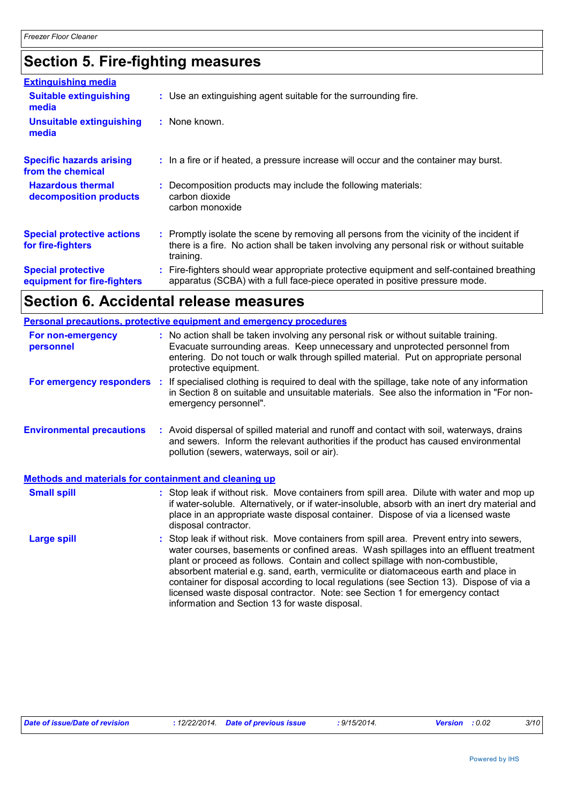# **Section 5. Fire-fighting measures**

| <b>Extinguishing media</b>                               |                                                                                                                                                                                                     |
|----------------------------------------------------------|-----------------------------------------------------------------------------------------------------------------------------------------------------------------------------------------------------|
| <b>Suitable extinguishing</b><br>media                   | : Use an extinguishing agent suitable for the surrounding fire.                                                                                                                                     |
| <b>Unsuitable extinguishing</b><br>media                 | : None known.                                                                                                                                                                                       |
| <b>Specific hazards arising</b><br>from the chemical     | : In a fire or if heated, a pressure increase will occur and the container may burst.                                                                                                               |
| <b>Hazardous thermal</b><br>decomposition products       | : Decomposition products may include the following materials:<br>carbon dioxide<br>carbon monoxide                                                                                                  |
| <b>Special protective actions</b><br>for fire-fighters   | : Promptly isolate the scene by removing all persons from the vicinity of the incident if<br>there is a fire. No action shall be taken involving any personal risk or without suitable<br>training. |
| <b>Special protective</b><br>equipment for fire-fighters | : Fire-fighters should wear appropriate protective equipment and self-contained breathing<br>apparatus (SCBA) with a full face-piece operated in positive pressure mode.                            |

## **Section 6. Accidental release measures**

|                                  | <b>Personal precautions, protective equipment and emergency procedures</b>                                                                                                                                                                                                                                                                                                                                                                                                                                                                                                               |  |  |  |  |
|----------------------------------|------------------------------------------------------------------------------------------------------------------------------------------------------------------------------------------------------------------------------------------------------------------------------------------------------------------------------------------------------------------------------------------------------------------------------------------------------------------------------------------------------------------------------------------------------------------------------------------|--|--|--|--|
| For non-emergency<br>personnel   | : No action shall be taken involving any personal risk or without suitable training.<br>Evacuate surrounding areas. Keep unnecessary and unprotected personnel from<br>entering. Do not touch or walk through spilled material. Put on appropriate personal<br>protective equipment.                                                                                                                                                                                                                                                                                                     |  |  |  |  |
|                                  | For emergency responders : If specialised clothing is required to deal with the spillage, take note of any information<br>in Section 8 on suitable and unsuitable materials. See also the information in "For non-<br>emergency personnel".                                                                                                                                                                                                                                                                                                                                              |  |  |  |  |
| <b>Environmental precautions</b> | : Avoid dispersal of spilled material and runoff and contact with soil, waterways, drains<br>and sewers. Inform the relevant authorities if the product has caused environmental<br>pollution (sewers, waterways, soil or air).                                                                                                                                                                                                                                                                                                                                                          |  |  |  |  |
|                                  | Methods and materials for containment and cleaning up                                                                                                                                                                                                                                                                                                                                                                                                                                                                                                                                    |  |  |  |  |
| <b>Small spill</b>               | : Stop leak if without risk. Move containers from spill area. Dilute with water and mop up<br>if water-soluble. Alternatively, or if water-insoluble, absorb with an inert dry material and<br>place in an appropriate waste disposal container. Dispose of via a licensed waste<br>disposal contractor.                                                                                                                                                                                                                                                                                 |  |  |  |  |
| <b>Large spill</b>               | Stop leak if without risk. Move containers from spill area. Prevent entry into sewers,<br>water courses, basements or confined areas. Wash spillages into an effluent treatment<br>plant or proceed as follows. Contain and collect spillage with non-combustible,<br>absorbent material e.g. sand, earth, vermiculite or diatomaceous earth and place in<br>container for disposal according to local regulations (see Section 13). Dispose of via a<br>licensed waste disposal contractor. Note: see Section 1 for emergency contact<br>information and Section 13 for waste disposal. |  |  |  |  |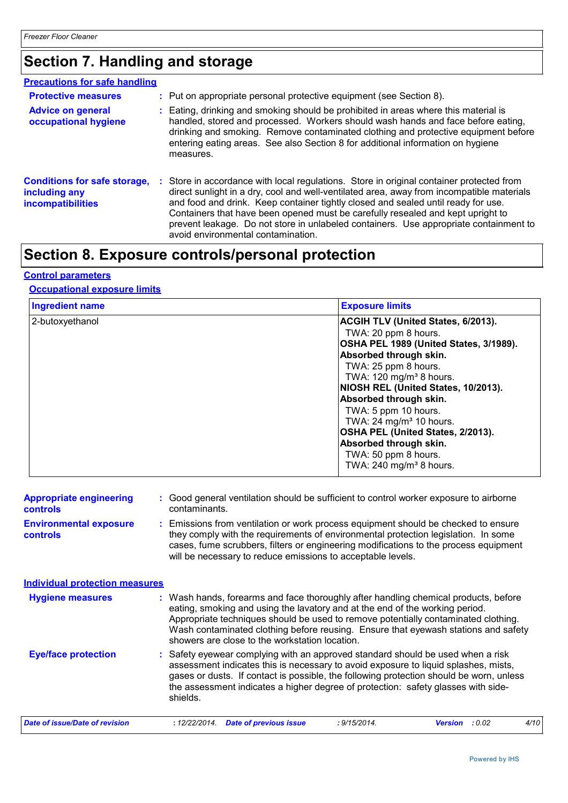# **Section 7. Handling and storage**

| <b>Precautions for safe handling</b>                                             |                                                                                                                                                                                                                                                                                                                                                                                                                                                                                              |
|----------------------------------------------------------------------------------|----------------------------------------------------------------------------------------------------------------------------------------------------------------------------------------------------------------------------------------------------------------------------------------------------------------------------------------------------------------------------------------------------------------------------------------------------------------------------------------------|
| <b>Protective measures</b>                                                       | : Put on appropriate personal protective equipment (see Section 8).                                                                                                                                                                                                                                                                                                                                                                                                                          |
| <b>Advice on general</b><br>occupational hygiene                                 | : Eating, drinking and smoking should be prohibited in areas where this material is<br>handled, stored and processed. Workers should wash hands and face before eating,<br>drinking and smoking. Remove contaminated clothing and protective equipment before<br>entering eating areas. See also Section 8 for additional information on hygiene<br>measures.                                                                                                                                |
| <b>Conditions for safe storage,</b><br>including any<br><b>incompatibilities</b> | : Store in accordance with local regulations. Store in original container protected from<br>direct sunlight in a dry, cool and well-ventilated area, away from incompatible materials<br>and food and drink. Keep container tightly closed and sealed until ready for use.<br>Containers that have been opened must be carefully resealed and kept upright to<br>prevent leakage. Do not store in unlabeled containers. Use appropriate containment to<br>avoid environmental contamination. |

# **Section 8. Exposure controls/personal protection**

## **Control parameters**

## **Occupational exposure limits**

| <b>Ingredient name</b> | <b>Exposure limits</b>                                                                                                                                                                                                                                                                                                                                                                                                                                       |
|------------------------|--------------------------------------------------------------------------------------------------------------------------------------------------------------------------------------------------------------------------------------------------------------------------------------------------------------------------------------------------------------------------------------------------------------------------------------------------------------|
| 2-butoxyethanol        | ACGIH TLV (United States, 6/2013).<br>TWA: 20 ppm 8 hours.<br>OSHA PEL 1989 (United States, 3/1989).<br>Absorbed through skin.<br>TWA: 25 ppm 8 hours.<br>TWA: 120 mg/m <sup>3</sup> 8 hours.<br>NIOSH REL (United States, 10/2013).<br>Absorbed through skin.<br>TWA: 5 ppm 10 hours.<br>TWA: $24 \text{ mg/m}^3$ 10 hours.<br>OSHA PEL (United States, 2/2013).<br>Absorbed through skin.<br>TWA: 50 ppm 8 hours.<br>TWA: $240$ mg/m <sup>3</sup> 8 hours. |

| <b>Appropriate engineering</b><br><b>controls</b> | : Good general ventilation should be sufficient to control worker exposure to airborne<br>contaminants.                                                                                                                                                                                                                                                                                           |
|---------------------------------------------------|---------------------------------------------------------------------------------------------------------------------------------------------------------------------------------------------------------------------------------------------------------------------------------------------------------------------------------------------------------------------------------------------------|
| <b>Environmental exposure</b><br>controls         | : Emissions from ventilation or work process equipment should be checked to ensure<br>they comply with the requirements of environmental protection legislation. In some<br>cases, fume scrubbers, filters or engineering modifications to the process equipment<br>will be necessary to reduce emissions to acceptable levels.                                                                   |
| <b>Individual protection measures</b>             |                                                                                                                                                                                                                                                                                                                                                                                                   |
| <b>Hygiene measures</b>                           | : Wash hands, forearms and face thoroughly after handling chemical products, before<br>eating, smoking and using the lavatory and at the end of the working period.<br>Appropriate techniques should be used to remove potentially contaminated clothing.<br>Wash contaminated clothing before reusing. Ensure that eyewash stations and safety<br>showers are close to the workstation location. |
| <b>Eye/face protection</b>                        | : Safety eyewear complying with an approved standard should be used when a risk<br>assessment indicates this is necessary to avoid exposure to liquid splashes, mists,<br>gases or dusts. If contact is possible, the following protection should be worn, unless<br>the assessment indicates a higher degree of protection: safety glasses with side-<br>shields.                                |
| Date of issue/Date of revision                    | : 9/15/2014.<br>: 12/22/2014.<br><b>Date of previous issue</b><br><b>Version</b> : 0.02<br>4/10                                                                                                                                                                                                                                                                                                   |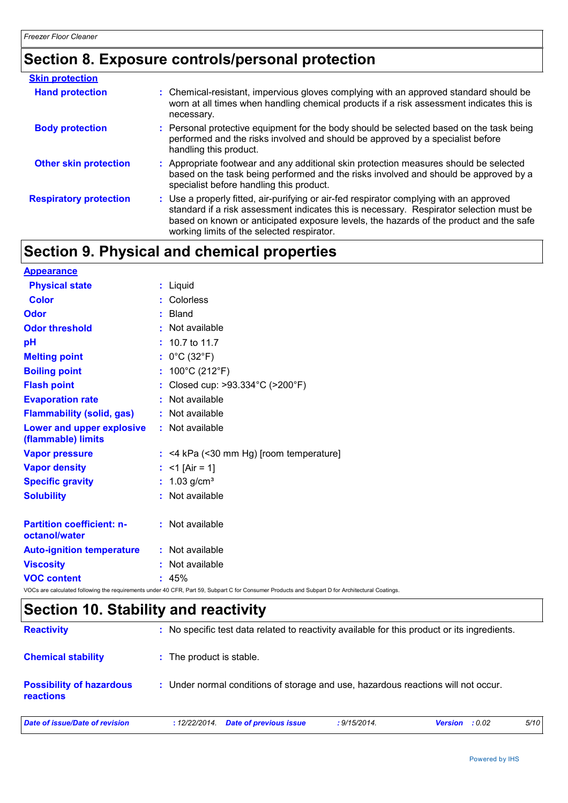# **Section 8. Exposure controls/personal protection**

| <b>Skin protection</b>        |                                                                                                                                                                                                                                                                                                                            |
|-------------------------------|----------------------------------------------------------------------------------------------------------------------------------------------------------------------------------------------------------------------------------------------------------------------------------------------------------------------------|
| <b>Hand protection</b>        | : Chemical-resistant, impervious gloves complying with an approved standard should be<br>worn at all times when handling chemical products if a risk assessment indicates this is<br>necessary.                                                                                                                            |
| <b>Body protection</b>        | : Personal protective equipment for the body should be selected based on the task being<br>performed and the risks involved and should be approved by a specialist before<br>handling this product.                                                                                                                        |
| <b>Other skin protection</b>  | : Appropriate footwear and any additional skin protection measures should be selected<br>based on the task being performed and the risks involved and should be approved by a<br>specialist before handling this product.                                                                                                  |
| <b>Respiratory protection</b> | : Use a properly fitted, air-purifying or air-fed respirator complying with an approved<br>standard if a risk assessment indicates this is necessary. Respirator selection must be<br>based on known or anticipated exposure levels, the hazards of the product and the safe<br>working limits of the selected respirator. |

# **Section 9. Physical and chemical properties**

| <b>Appearance</b>                                 |                                                                                                                                                 |
|---------------------------------------------------|-------------------------------------------------------------------------------------------------------------------------------------------------|
| <b>Physical state</b>                             | : Liquid                                                                                                                                        |
| <b>Color</b>                                      | : Colorless                                                                                                                                     |
| <b>Odor</b>                                       | Bland                                                                                                                                           |
| <b>Odor threshold</b>                             | : Not available                                                                                                                                 |
| pH                                                | $: 10.7$ to 11.7                                                                                                                                |
| <b>Melting point</b>                              | : $0^{\circ}$ C (32 $^{\circ}$ F)                                                                                                               |
| <b>Boiling point</b>                              | : $100^{\circ}$ C (212 $^{\circ}$ F)                                                                                                            |
| <b>Flash point</b>                                | : Closed cup: >93.334°C (>200°F)                                                                                                                |
| <b>Evaporation rate</b>                           | : Not available                                                                                                                                 |
| <b>Flammability (solid, gas)</b>                  | : Not available                                                                                                                                 |
| Lower and upper explosive<br>(flammable) limits   | : Not available                                                                                                                                 |
| <b>Vapor pressure</b>                             | $:$ <4 kPa (<30 mm Hg) [room temperature]                                                                                                       |
| <b>Vapor density</b>                              | : <1 [Air = 1]                                                                                                                                  |
| <b>Specific gravity</b>                           | : $1.03$ g/cm <sup>3</sup>                                                                                                                      |
| <b>Solubility</b>                                 | : Not available                                                                                                                                 |
| <b>Partition coefficient: n-</b><br>octanol/water | : Not available                                                                                                                                 |
| <b>Auto-ignition temperature</b>                  | : Not available                                                                                                                                 |
| <b>Viscosity</b>                                  | : Not available                                                                                                                                 |
| <b>VOC content</b>                                | : 45%                                                                                                                                           |
|                                                   | VOCs are calculated following the requirements under 40 CFR, Part 59, Subpart C for Consumer Products and Subpart D for Architectural Coatings. |

# **Section 10. Stability and reactivity**

| <b>Reactivity</b>                                   | : No specific test data related to reactivity available for this product or its ingredients. |              |                       |      |  |
|-----------------------------------------------------|----------------------------------------------------------------------------------------------|--------------|-----------------------|------|--|
| <b>Chemical stability</b>                           | : The product is stable.                                                                     |              |                       |      |  |
| <b>Possibility of hazardous</b><br><b>reactions</b> | : Under normal conditions of storage and use, hazardous reactions will not occur.            |              |                       |      |  |
| Date of issue/Date of revision                      | Date of previous issue<br>: 12/22/2014.                                                      | : 9/15/2014. | <b>Version</b> : 0.02 | 5/10 |  |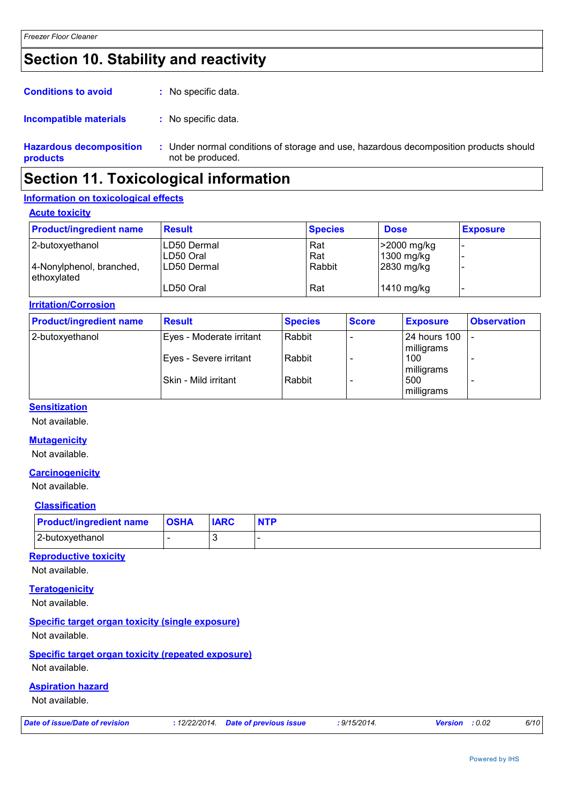# **Section 10. Stability and reactivity**

| <b>Conditions to avoid</b> | : No specific data. |
|----------------------------|---------------------|
|----------------------------|---------------------|

#### : No specific data. **Incompatible materials :**

**Hazardous decomposition products** Under normal conditions of storage and use, hazardous decomposition products should **:** not be produced.

## **Section 11. Toxicological information**

## **Information on toxicological effects**

**Acute toxicity**

| <b>Product/ingredient name</b>          | <b>Result</b> | <b>Species</b> | <b>Dose</b> | <b>Exposure</b> |
|-----------------------------------------|---------------|----------------|-------------|-----------------|
| 2-butoxyethanol                         | ILD50 Dermal  | Rat            | >2000 mg/kg |                 |
|                                         | ILD50 Oral    | Rat            | 1300 mg/kg  |                 |
| 4-Nonylphenol, branched,<br>ethoxylated | ILD50 Dermal  | Rabbit         | 2830 mg/kg  |                 |
|                                         | LD50 Oral     | Rat            | 1410 mg/kg  |                 |

### **Irritation/Corrosion**

| <b>Product/ingredient name</b> | <b>Result</b>            | <b>Species</b> | <b>Score</b> | <b>Exposure</b>            | <b>Observation</b> |
|--------------------------------|--------------------------|----------------|--------------|----------------------------|--------------------|
| 2-butoxyethanol                | Eyes - Moderate irritant | Rabbit         |              | 24 hours 100<br>milligrams |                    |
|                                | Eyes - Severe irritant   | Rabbit         |              | 100<br>milligrams          |                    |
|                                | l Skin - Mild irritant   | Rabbit         |              | 500<br>milligrams          |                    |

## **Sensitization**

Not available.

### **Mutagenicity**

Not available.

### **Carcinogenicity**

Not available.

### **Classification**

| <b>Product/ingredient name OSHA</b> | <b>IARC</b> |  |
|-------------------------------------|-------------|--|
| 2-butoxyethanol                     |             |  |

### **Reproductive toxicity**

Not available.

## **Teratogenicity**

Not available.

## **Specific target organ toxicity (single exposure)**

Not available.

## **Specific target organ toxicity (repeated exposure)**

Not available.

## **Aspiration hazard**

Not available.

| Date of issue/Date of revision | : 12/22/2014. Date of previous issue | ·9/15/2014. | <b>Version</b> : 0.02 |  | 6/10 |
|--------------------------------|--------------------------------------|-------------|-----------------------|--|------|
|--------------------------------|--------------------------------------|-------------|-----------------------|--|------|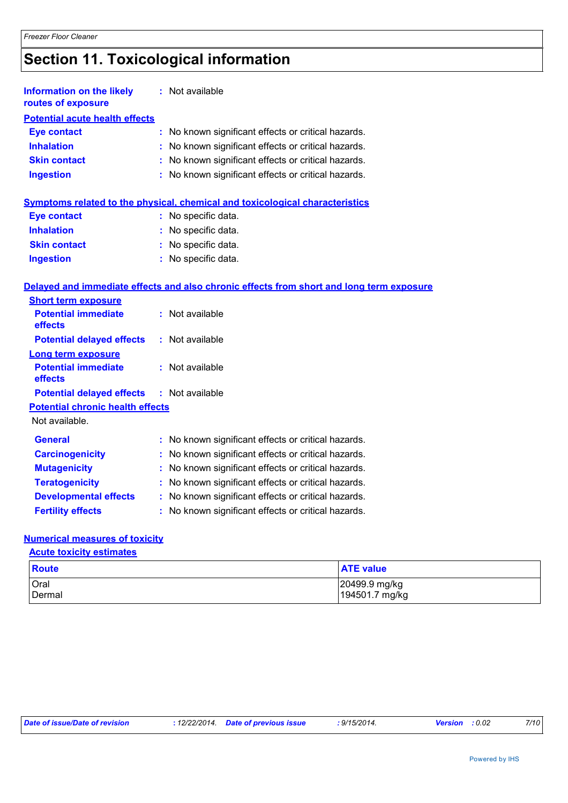# **Section 11. Toxicological information**

| <b>Information on the likely</b><br>routes of exposure | : Not available                                     |
|--------------------------------------------------------|-----------------------------------------------------|
| <b>Potential acute health effects</b>                  |                                                     |
| <b>Eye contact</b>                                     | : No known significant effects or critical hazards. |
| <b>Inhalation</b>                                      | : No known significant effects or critical hazards. |
| <b>Skin contact</b>                                    | : No known significant effects or critical hazards. |
| <b>Ingestion</b>                                       | : No known significant effects or critical hazards. |

## **Symptoms related to the physical, chemical and toxicological characteristics**

| <b>Eye contact</b>  | : No specific data.   |
|---------------------|-----------------------|
| <b>Inhalation</b>   | : No specific data.   |
| <b>Skin contact</b> | : No specific data.   |
| <b>Ingestion</b>    | $:$ No specific data. |

## **Delayed and immediate effects and also chronic effects from short and long term exposure**

| <b>Short term exposure</b>              |                 |
|-----------------------------------------|-----------------|
| <b>Potential immediate</b><br>effects   | : Not available |
| <b>Potential delayed effects</b>        | : Not available |
| Long term exposure                      |                 |
| <b>Potential immediate</b><br>effects   | : Not available |
| <b>Potential delayed effects</b>        | : Not available |
| <b>Potential chronic health effects</b> |                 |
| Not available.                          |                 |
|                                         |                 |

| <b>General</b>               | : No known significant effects or critical hazards. |
|------------------------------|-----------------------------------------------------|
| <b>Carcinogenicity</b>       | : No known significant effects or critical hazards. |
| <b>Mutagenicity</b>          | : No known significant effects or critical hazards. |
| <b>Teratogenicity</b>        | : No known significant effects or critical hazards. |
| <b>Developmental effects</b> | : No known significant effects or critical hazards. |
| <b>Fertility effects</b>     | : No known significant effects or critical hazards. |

## **Numerical measures of toxicity**

### **Acute toxicity estimates**

| Route  | <b>ATE value</b> |
|--------|------------------|
| Oral   | 20499.9 mg/kg    |
| Dermal | 194501.7 mg/kg   |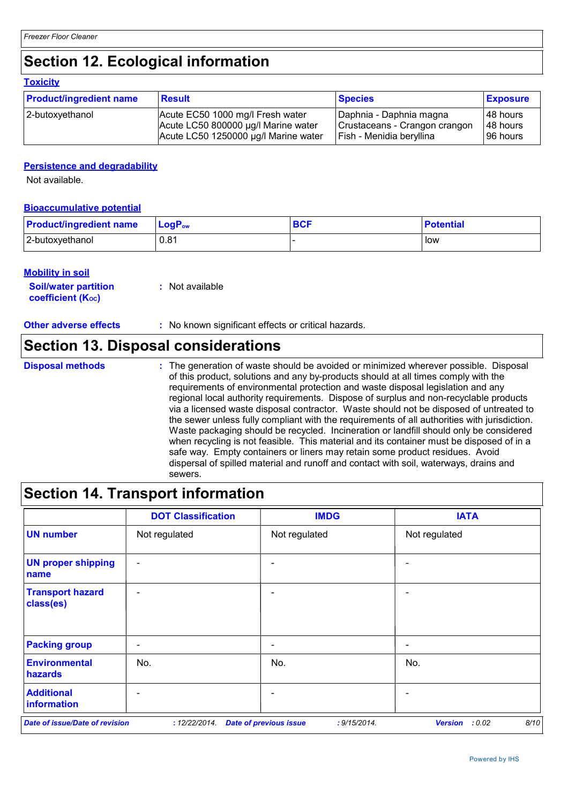# **Section 12. Ecological information**

### **Toxicity**

| <b>Product/ingredient name</b> | <b>Result</b>                        | <b>Species</b>                | <b>Exposure</b> |
|--------------------------------|--------------------------------------|-------------------------------|-----------------|
| 2-butoxyethanol                | Acute EC50 1000 mg/l Fresh water     | Daphnia - Daphnia magna       | 148 hours       |
|                                | Acute LC50 800000 µg/l Marine water  | Crustaceans - Crangon crangon | 48 hours        |
|                                | Acute LC50 1250000 µg/l Marine water | Fish - Menidia beryllina      | 96 hours        |

## **Persistence and degradability**

Not available.

## **Bioaccumulative potential**

| <b>Product/ingredient name</b> | $\mathsf{LogP}_\mathsf{ow}$ | <b>BCF</b> | <b>Potential</b> |
|--------------------------------|-----------------------------|------------|------------------|
| 2-butoxyethanol                | 0.81                        |            | low              |

## **Mobility in soil**

| <i></i>                     |                 |
|-----------------------------|-----------------|
| <b>Soil/water partition</b> | : Not available |
| <b>coefficient (Koc)</b>    |                 |

## **Other adverse effects** : No known significant effects or critical hazards.

## **Section 13. Disposal considerations**

The generation of waste should be avoided or minimized wherever possible. Disposal of this product, solutions and any by-products should at all times comply with the requirements of environmental protection and waste disposal legislation and any regional local authority requirements. Dispose of surplus and non-recyclable products via a licensed waste disposal contractor. Waste should not be disposed of untreated to the sewer unless fully compliant with the requirements of all authorities with jurisdiction. Waste packaging should be recycled. Incineration or landfill should only be considered when recycling is not feasible. This material and its container must be disposed of in a safe way. Empty containers or liners may retain some product residues. Avoid dispersal of spilled material and runoff and contact with soil, waterways, drains and sewers. **Disposal methods :**

## **Section 14. Transport information**

|                                       | <b>DOT Classification</b> | <b>IMDG</b>                                   | <b>IATA</b>                      |
|---------------------------------------|---------------------------|-----------------------------------------------|----------------------------------|
| <b>UN number</b>                      | Not regulated             | Not regulated                                 | Not regulated                    |
| <b>UN proper shipping</b><br>name     | $\overline{\phantom{a}}$  | $\overline{\phantom{0}}$                      | $\overline{\phantom{0}}$         |
| <b>Transport hazard</b><br>class(es)  | $\overline{\phantom{a}}$  | $\overline{\phantom{0}}$                      | $\qquad \qquad \blacksquare$     |
| <b>Packing group</b>                  | $\qquad \qquad$           | $\overline{\phantom{a}}$                      | $\qquad \qquad \blacksquare$     |
| <b>Environmental</b><br>hazards       | No.                       | No.                                           | No.                              |
| <b>Additional</b><br>information      |                           |                                               |                                  |
| <b>Date of issue/Date of revision</b> | : 12/22/2014.             | <b>Date of previous issue</b><br>: 9/15/2014. | 8/10<br><b>Version</b><br>: 0.02 |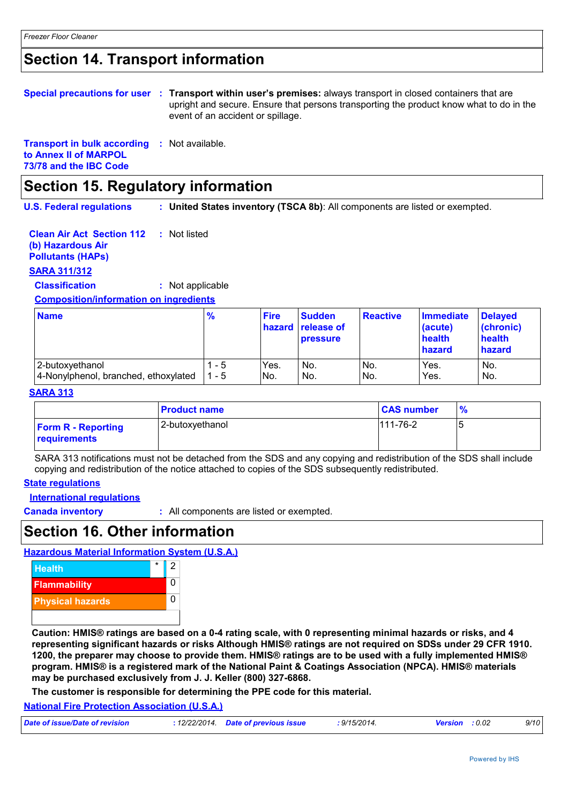## **Section 14. Transport information**

| Special precautions for user : Transport within user's premises: always transport in closed containers that are<br>upright and secure. Ensure that persons transporting the product know what to do in the<br>event of an accident or spillage. |  |
|-------------------------------------------------------------------------------------------------------------------------------------------------------------------------------------------------------------------------------------------------|--|
|                                                                                                                                                                                                                                                 |  |

**Transport in bulk according :** Not available. **to Annex II of MARPOL 73/78 and the IBC Code**

## **Section 15. Regulatory information**

**U.S. Federal regulations : United States inventory (TSCA 8b)**: All components are listed or exempted.

| <b>Clean Air Act Section 112</b> : Not listed |  |
|-----------------------------------------------|--|
| (b) Hazardous Air                             |  |
| <b>Pollutants (HAPS)</b>                      |  |

## **SARA 311/312**

**Classification :** Not applicable

**Composition/information on ingredients**

| <b>Name</b>                          | $\frac{9}{6}$ | <b>Fire</b>     | <b>Sudden</b><br>hazard release of<br><b>pressure</b> | <b>Reactive</b> | <b>Immediate</b><br>(acute)<br>health<br>hazard | <b>Delayed</b><br>(chronic)<br>health<br>hazard |
|--------------------------------------|---------------|-----------------|-------------------------------------------------------|-----------------|-------------------------------------------------|-------------------------------------------------|
| 2-butoxyethanol                      | - 5           | Yes.            | No.                                                   | No.             | Yes.                                            | No.                                             |
| 4-Nonylphenol, branched, ethoxylated | - 5           | IN <sub>o</sub> | No.                                                   | No.             | Yes.                                            | No.                                             |

### **SARA 313**

|                                           | <b>Product name</b> | <b>CAS number</b> | $\frac{9}{6}$ |
|-------------------------------------------|---------------------|-------------------|---------------|
| <b>Form R - Reporting</b><br>requirements | 2-butoxyethanol     | $111 - 76 - 2$    |               |

SARA 313 notifications must not be detached from the SDS and any copying and redistribution of the SDS shall include copying and redistribution of the notice attached to copies of the SDS subsequently redistributed.

#### **State regulations**

**International regulations**

**Canada inventory :** All components are listed or exempted.

## **Section 16. Other information**

#### **Hazardous Material Information System (U.S.A.)**



**Caution: HMIS® ratings are based on a 0-4 rating scale, with 0 representing minimal hazards or risks, and 4 representing significant hazards or risks Although HMIS® ratings are not required on SDSs under 29 CFR 1910. 1200, the preparer may choose to provide them. HMIS® ratings are to be used with a fully implemented HMIS® program. HMIS® is a registered mark of the National Paint & Coatings Association (NPCA). HMIS® materials may be purchased exclusively from J. J. Keller (800) 327-6868.**

**The customer is responsible for determining the PPE code for this material.**

**National Fire Protection Association (U.S.A.)**

| Date of issue/Date of revision | : 12/22/2014 Date of previous issue | : 9/15/2014. | <b>Version</b> : 0.02 | 9/10 |
|--------------------------------|-------------------------------------|--------------|-----------------------|------|
|                                |                                     |              |                       |      |